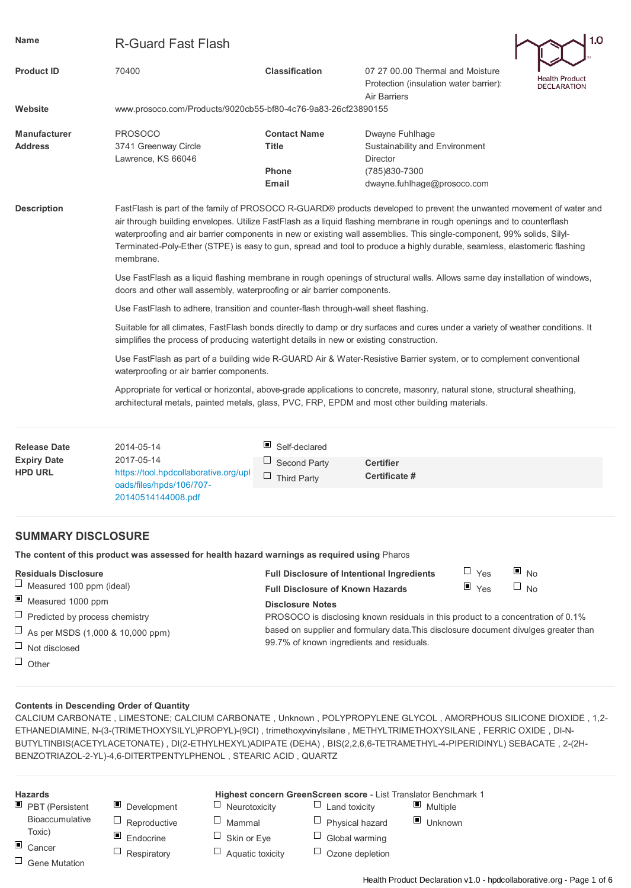| <b>Name</b>                                                 | <b>R-Guard Fast Flash</b>                                                                                                                                                                                                                                                                                                                                                                                                                                                                                        |                                                                                  |                                                                                                               |                                 | 1.0                                  |  |  |  |  |  |
|-------------------------------------------------------------|------------------------------------------------------------------------------------------------------------------------------------------------------------------------------------------------------------------------------------------------------------------------------------------------------------------------------------------------------------------------------------------------------------------------------------------------------------------------------------------------------------------|----------------------------------------------------------------------------------|---------------------------------------------------------------------------------------------------------------|---------------------------------|--------------------------------------|--|--|--|--|--|
| <b>Product ID</b>                                           | 70400                                                                                                                                                                                                                                                                                                                                                                                                                                                                                                            | <b>Classification</b>                                                            | 07 27 00.00 Thermal and Moisture<br>Protection (insulation water barrier):<br>Air Barriers                    |                                 | Health Product<br><b>DECLARATION</b> |  |  |  |  |  |
| Website                                                     | www.prosoco.com/Products/9020cb55-bf80-4c76-9a83-26cf23890155                                                                                                                                                                                                                                                                                                                                                                                                                                                    |                                                                                  |                                                                                                               |                                 |                                      |  |  |  |  |  |
| <b>Manufacturer</b><br><b>Address</b>                       | <b>PROSOCO</b><br>3741 Greenway Circle<br>Lawrence, KS 66046                                                                                                                                                                                                                                                                                                                                                                                                                                                     | <b>Contact Name</b><br>Title<br><b>Phone</b><br><b>Email</b>                     | Dwayne Fuhlhage<br>Sustainability and Environment<br>Director<br>(785)830-7300<br>dwayne.fuhlhage@prosoco.com |                                 |                                      |  |  |  |  |  |
| <b>Description</b>                                          | FastFlash is part of the family of PROSOCO R-GUARD® products developed to prevent the unwanted movement of water and<br>air through building envelopes. Utilize FastFlash as a liquid flashing membrane in rough openings and to counterflash<br>waterproofing and air barrier components in new or existing wall assemblies. This single-component, 99% solids, Silyl-<br>Terminated-Poly-Ether (STPE) is easy to gun, spread and tool to produce a highly durable, seamless, elastomeric flashing<br>membrane. |                                                                                  |                                                                                                               |                                 |                                      |  |  |  |  |  |
|                                                             | Use FastFlash as a liquid flashing membrane in rough openings of structural walls. Allows same day installation of windows,<br>doors and other wall assembly, waterproofing or air barrier components.                                                                                                                                                                                                                                                                                                           |                                                                                  |                                                                                                               |                                 |                                      |  |  |  |  |  |
|                                                             | Use FastFlash to adhere, transition and counter-flash through-wall sheet flashing.                                                                                                                                                                                                                                                                                                                                                                                                                               |                                                                                  |                                                                                                               |                                 |                                      |  |  |  |  |  |
|                                                             | Suitable for all climates, FastFlash bonds directly to damp or dry surfaces and cures under a variety of weather conditions. It<br>simplifies the process of producing watertight details in new or existing construction.                                                                                                                                                                                                                                                                                       |                                                                                  |                                                                                                               |                                 |                                      |  |  |  |  |  |
|                                                             | Use FastFlash as part of a building wide R-GUARD Air & Water-Resistive Barrier system, or to complement conventional<br>waterproofing or air barrier components.                                                                                                                                                                                                                                                                                                                                                 |                                                                                  |                                                                                                               |                                 |                                      |  |  |  |  |  |
|                                                             | Appropriate for vertical or horizontal, above-grade applications to concrete, masonry, natural stone, structural sheathing,<br>architectural metals, painted metals, glass, PVC, FRP, EPDM and most other building materials.                                                                                                                                                                                                                                                                                    |                                                                                  |                                                                                                               |                                 |                                      |  |  |  |  |  |
| <b>Release Date</b><br><b>Expiry Date</b><br><b>HPD URL</b> | 2014-05-14<br>2017-05-14<br>https://tool.hpdcollaborative.org/upl                                                                                                                                                                                                                                                                                                                                                                                                                                                | ш<br>Self-declared<br>Ц<br><b>Second Party</b><br>$\sqcup$<br><b>Third Party</b> | <b>Certifier</b><br>Certificate #                                                                             |                                 |                                      |  |  |  |  |  |
|                                                             | oads/files/hpds/106/707-<br>20140514144008.pdf                                                                                                                                                                                                                                                                                                                                                                                                                                                                   |                                                                                  |                                                                                                               |                                 |                                      |  |  |  |  |  |
| <b>SUMMARY DISCLOSURE</b>                                   |                                                                                                                                                                                                                                                                                                                                                                                                                                                                                                                  |                                                                                  |                                                                                                               |                                 |                                      |  |  |  |  |  |
|                                                             | The content of this product was assessed for health hazard warnings as required using Pharos                                                                                                                                                                                                                                                                                                                                                                                                                     |                                                                                  |                                                                                                               |                                 |                                      |  |  |  |  |  |
| <b>Residuals Disclosure</b>                                 |                                                                                                                                                                                                                                                                                                                                                                                                                                                                                                                  | <b>Full Disclosure of Intentional Ingredients</b>                                |                                                                                                               | $\Box$ Yes<br>$\blacksquare$ No |                                      |  |  |  |  |  |
| ⊔<br>Measured 100 ppm (ideal)                               |                                                                                                                                                                                                                                                                                                                                                                                                                                                                                                                  | <b>Full Disclosure of Known Hazards</b>                                          |                                                                                                               | $\blacksquare$ Yes<br>$\Box$ No |                                      |  |  |  |  |  |
| Ц<br>Measured 1000 ppm                                      |                                                                                                                                                                                                                                                                                                                                                                                                                                                                                                                  | <b>Disclosure Notes</b>                                                          |                                                                                                               |                                 |                                      |  |  |  |  |  |
| Ц<br>Predicted by process chemistry                         |                                                                                                                                                                                                                                                                                                                                                                                                                                                                                                                  |                                                                                  | PROSOCO is disclosing known residuals in this product to a concentration of 0.1%                              |                                 |                                      |  |  |  |  |  |
| ⊔<br>As per MSDS (1,000 & 10,000 ppm)                       |                                                                                                                                                                                                                                                                                                                                                                                                                                                                                                                  | 99.7% of known ingredients and residuals.                                        | based on supplier and formulary data. This disclosure document divulges greater than                          |                                 |                                      |  |  |  |  |  |
| ⊔<br>Not disclosed                                          |                                                                                                                                                                                                                                                                                                                                                                                                                                                                                                                  |                                                                                  |                                                                                                               |                                 |                                      |  |  |  |  |  |
| $\Box$<br>Other                                             |                                                                                                                                                                                                                                                                                                                                                                                                                                                                                                                  |                                                                                  |                                                                                                               |                                 |                                      |  |  |  |  |  |

### **Contents in Descending Order of Quantity**

CALCIUM CARBONATE , LIMESTONE; CALCIUM CARBONATE , Unknown , POLYPROPYLENE GLYCOL , AMORPHOUS SILICONE DIOXIDE , 1,2- ETHANEDIAMINE, N-(3-(TRIMETHOXYSILYL)PROPYL)-(9CI) , trimethoxyvinylsilane , METHYLTRIMETHOXYSILANE , FERRIC OXIDE , DI-N-BUTYLTINBIS(ACETYLACETONATE) , DI(2-ETHYLHEXYL)ADIPATE (DEHA) , BIS(2,2,6,6-TETRAMETHYL-4-PIPERIDINYL) SEBACATE , 2-(2H-BENZOTRIAZOL-2-YL)-4,6-DITERTPENTYLPHENOL , STEARIC ACID , QUARTZ

| <b>Hazards</b>                 |                  |                      | Highest concern GreenScreen score - List Translator Benchmark 1 |                         |
|--------------------------------|------------------|----------------------|-----------------------------------------------------------------|-------------------------|
| $\blacksquare$ PBT (Persistent | о<br>Development | $\Box$ Neurotoxicity | Land toxicity                                                   | $\blacksquare$ Multiple |
| Bioaccumulative                | Reproductive     | $\Box$ Mammal        | $\Box$ Physical hazard                                          | ▣<br>Unknown            |
| Toxic)                         | ▣<br>Endocrine   | $\Box$ Skin or Eye   | Global warming                                                  |                         |
| $\Box$ Cancer                  | Respiratory      | Aquatic toxicity     | Ozone depletion                                                 |                         |
| $\Box$ Gene Mutation           |                  |                      |                                                                 |                         |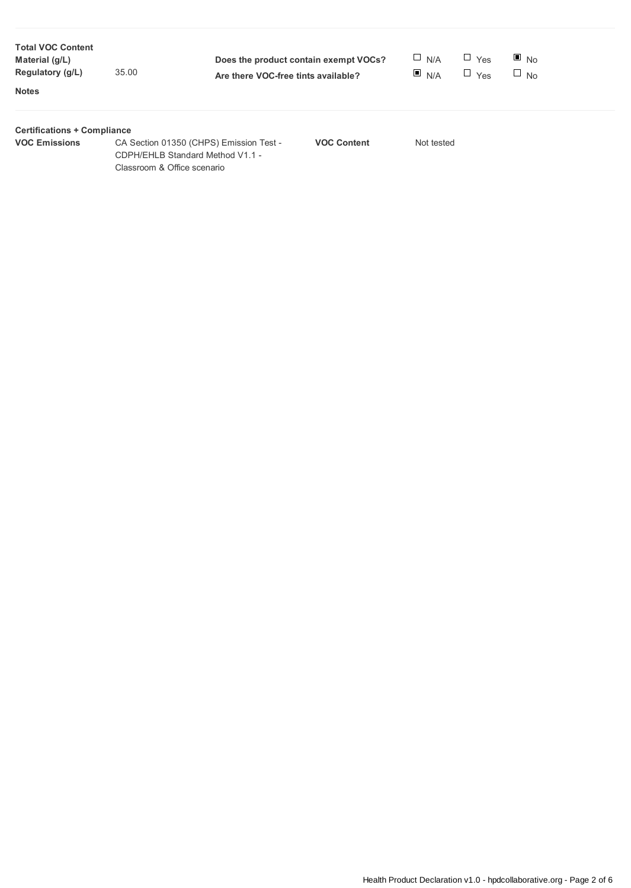| <b>Total VOC Content</b><br>Material (g/L)<br>Regulatory (g/L)<br><b>Notes</b> | 35.00                       | Are there VOC-free tints available?                                         | Does the product contain exempt VOCs? | $\Box$ N/A<br>N/A | $\Box$ Yes<br>$\Box$<br>Yes | $\blacksquare$ No<br>$\Box$ No |  |
|--------------------------------------------------------------------------------|-----------------------------|-----------------------------------------------------------------------------|---------------------------------------|-------------------|-----------------------------|--------------------------------|--|
| <b>Certifications + Compliance</b><br><b>VOC Emissions</b>                     | Classroom & Office scenario | CA Section 01350 (CHPS) Emission Test -<br>CDPH/EHLB Standard Method V1.1 - | <b>VOC Content</b>                    | Not tested        |                             |                                |  |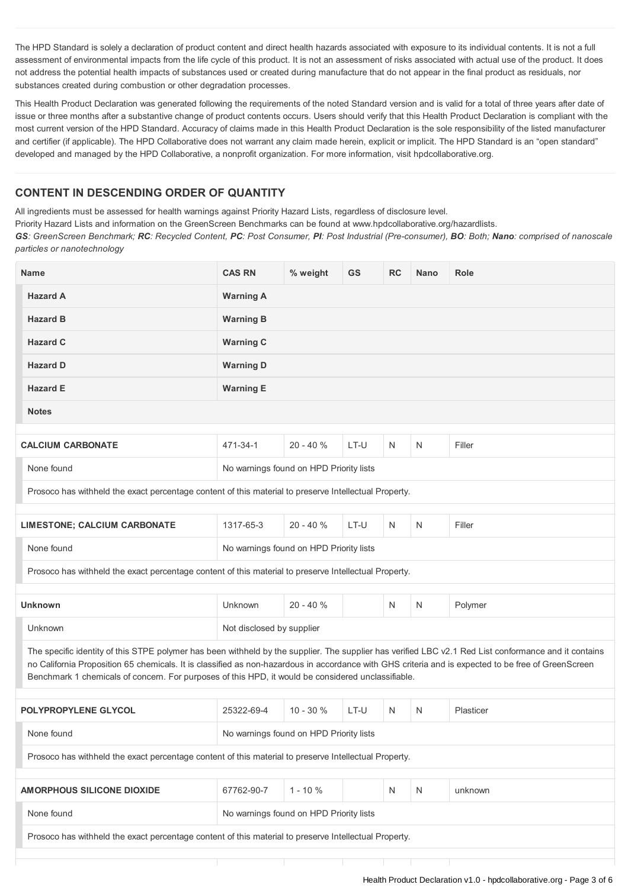The HPD Standard is solely a declaration of product content and direct health hazards associated with exposure to its individual contents. It is not a full assessment of environmental impacts from the life cycle of this product. It is not an assessment of risks associated with actual use of the product. It does not address the potential health impacts of substances used or created during manufacture that do not appear in the final product as residuals, nor substances created during combustion or other degradation processes.

This Health Product Declaration was generated following the requirements of the noted Standard version and is valid for a total of three years after date of issue or three months after a substantive change of product contents occurs. Users should verify that this Health Product Declaration is compliant with the most current version of the HPD Standard. Accuracy of claims made in this Health Product Declaration is the sole responsibility of the listed manufacturer and certifier (if applicable). The HPD Collaborative does not warrant any claim made herein, explicit or implicit. The HPD Standard is an "open standard" developed and managed by the HPD Collaborative, a nonprofit organization. For more information, visit hpdcollaborative.org.

## **CONTENT IN DESCENDING ORDER OF QUANTITY**

All ingredients must be assessed for health warnings against Priority Hazard Lists, regardless of disclosure level.

Priority Hazard Lists and information on the GreenScreen Benchmarks can be found at www.hpdcollaborative.org/hazardlists.

GS: GreenScreen Benchmark; RC: Recycled Content, PC: Post Consumer, PI: Post Industrial (Pre-consumer), BO: Both; Nano: comprised of nanoscale *particles or nanotechnology*

| <b>Name</b>                                                                                                                                                                                                                                                                                                                                                                                                        | <b>CAS RN</b>                           | % weight    | <b>GS</b> | <b>RC</b> | <b>Nano</b> | <b>Role</b> |  |
|--------------------------------------------------------------------------------------------------------------------------------------------------------------------------------------------------------------------------------------------------------------------------------------------------------------------------------------------------------------------------------------------------------------------|-----------------------------------------|-------------|-----------|-----------|-------------|-------------|--|
| <b>Hazard A</b>                                                                                                                                                                                                                                                                                                                                                                                                    | <b>Warning A</b>                        |             |           |           |             |             |  |
| <b>Hazard B</b>                                                                                                                                                                                                                                                                                                                                                                                                    | <b>Warning B</b>                        |             |           |           |             |             |  |
| <b>Hazard C</b>                                                                                                                                                                                                                                                                                                                                                                                                    | <b>Warning C</b>                        |             |           |           |             |             |  |
| <b>Hazard D</b>                                                                                                                                                                                                                                                                                                                                                                                                    | <b>Warning D</b>                        |             |           |           |             |             |  |
| <b>Hazard E</b>                                                                                                                                                                                                                                                                                                                                                                                                    | <b>Warning E</b>                        |             |           |           |             |             |  |
| <b>Notes</b>                                                                                                                                                                                                                                                                                                                                                                                                       |                                         |             |           |           |             |             |  |
| <b>CALCIUM CARBONATE</b>                                                                                                                                                                                                                                                                                                                                                                                           | 471-34-1                                | $20 - 40%$  | LT-U      | N         | N           | Filler      |  |
| None found                                                                                                                                                                                                                                                                                                                                                                                                         | No warnings found on HPD Priority lists |             |           |           |             |             |  |
| Prosoco has withheld the exact percentage content of this material to preserve Intellectual Property.                                                                                                                                                                                                                                                                                                              |                                         |             |           |           |             |             |  |
| <b>LIMESTONE; CALCIUM CARBONATE</b>                                                                                                                                                                                                                                                                                                                                                                                | 1317-65-3                               | $20 - 40%$  | LT-U      | N         | N           | Filler      |  |
| None found                                                                                                                                                                                                                                                                                                                                                                                                         | No warnings found on HPD Priority lists |             |           |           |             |             |  |
|                                                                                                                                                                                                                                                                                                                                                                                                                    |                                         |             |           |           |             |             |  |
| Prosoco has withheld the exact percentage content of this material to preserve Intellectual Property.                                                                                                                                                                                                                                                                                                              |                                         |             |           |           |             |             |  |
| <b>Unknown</b>                                                                                                                                                                                                                                                                                                                                                                                                     | Unknown                                 | $20 - 40 %$ |           | N         | N           | Polymer     |  |
| Unknown                                                                                                                                                                                                                                                                                                                                                                                                            | Not disclosed by supplier               |             |           |           |             |             |  |
| The specific identity of this STPE polymer has been withheld by the supplier. The supplier has verified LBC v2.1 Red List conformance and it contains<br>no California Proposition 65 chemicals. It is classified as non-hazardous in accordance with GHS criteria and is expected to be free of GreenScreen<br>Benchmark 1 chemicals of concern. For purposes of this HPD, it would be considered unclassifiable. |                                         |             |           |           |             |             |  |
| <b>POLYPROPYLENE GLYCOL</b>                                                                                                                                                                                                                                                                                                                                                                                        | 25322-69-4                              | $10 - 30%$  | LT-U      | N         | N           | Plasticer   |  |
| None found                                                                                                                                                                                                                                                                                                                                                                                                         | No warnings found on HPD Priority lists |             |           |           |             |             |  |
| Prosoco has withheld the exact percentage content of this material to preserve Intellectual Property.                                                                                                                                                                                                                                                                                                              |                                         |             |           |           |             |             |  |
| AMORPHOUS SILICONE DIOXIDE                                                                                                                                                                                                                                                                                                                                                                                         | 67762-90-7                              | $1 - 10%$   |           | N         | N           | unknown     |  |
| None found                                                                                                                                                                                                                                                                                                                                                                                                         | No warnings found on HPD Priority lists |             |           |           |             |             |  |
| Prosoco has withheld the exact percentage content of this material to preserve Intellectual Property.                                                                                                                                                                                                                                                                                                              |                                         |             |           |           |             |             |  |
|                                                                                                                                                                                                                                                                                                                                                                                                                    |                                         |             |           |           |             |             |  |
|                                                                                                                                                                                                                                                                                                                                                                                                                    |                                         |             |           |           |             |             |  |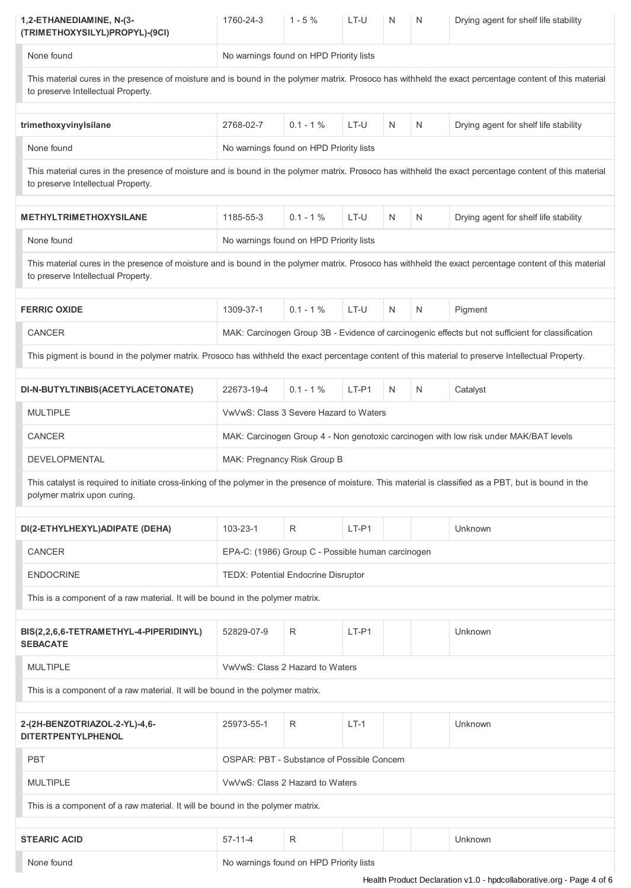| 1,2-ETHANEDIAMINE, N-(3-<br>(TRIMETHOXYSILYL)PROPYL)-(9CI)                                                                                                                                   | 1760-24-3                                                                                                                                                 | $1 - 5%$                                          | LT-U    | N  | N | Drying agent for shelf life stability                                                             |  |
|----------------------------------------------------------------------------------------------------------------------------------------------------------------------------------------------|-----------------------------------------------------------------------------------------------------------------------------------------------------------|---------------------------------------------------|---------|----|---|---------------------------------------------------------------------------------------------------|--|
| None found                                                                                                                                                                                   |                                                                                                                                                           | No warnings found on HPD Priority lists           |         |    |   |                                                                                                   |  |
| This material cures in the presence of moisture and is bound in the polymer matrix. Prosoco has withheld the exact percentage content of this material<br>to preserve Intellectual Property. |                                                                                                                                                           |                                                   |         |    |   |                                                                                                   |  |
| trimethoxyvinyIsilane                                                                                                                                                                        | 2768-02-7                                                                                                                                                 | $0.1 - 1 \%$                                      | LT-U    | N  | N | Drying agent for shelf life stability                                                             |  |
| None found                                                                                                                                                                                   |                                                                                                                                                           | No warnings found on HPD Priority lists           |         |    |   |                                                                                                   |  |
| This material cures in the presence of moisture and is bound in the polymer matrix. Prosoco has withheld the exact percentage content of this material<br>to preserve Intellectual Property. |                                                                                                                                                           |                                                   |         |    |   |                                                                                                   |  |
| <b>METHYLTRIMETHOXYSILANE</b>                                                                                                                                                                | 1185-55-3                                                                                                                                                 | $0.1 - 1%$                                        | LT-U    | N  | N | Drying agent for shelf life stability                                                             |  |
| None found                                                                                                                                                                                   |                                                                                                                                                           | No warnings found on HPD Priority lists           |         |    |   |                                                                                                   |  |
| This material cures in the presence of moisture and is bound in the polymer matrix. Prosoco has withheld the exact percentage content of this material<br>to preserve Intellectual Property. |                                                                                                                                                           |                                                   |         |    |   |                                                                                                   |  |
| <b>FERRIC OXIDE</b>                                                                                                                                                                          | 1309-37-1                                                                                                                                                 | $0.1 - 1%$                                        | LT-U    | N. | N | Pigment                                                                                           |  |
| CANCER                                                                                                                                                                                       |                                                                                                                                                           |                                                   |         |    |   | MAK: Carcinogen Group 3B - Evidence of carcinogenic effects but not sufficient for classification |  |
| This pigment is bound in the polymer matrix. Prosoco has withheld the exact percentage content of this material to preserve Intellectual Property.                                           |                                                                                                                                                           |                                                   |         |    |   |                                                                                                   |  |
| DI-N-BUTYLTINBIS(ACETYLACETONATE)                                                                                                                                                            | 22673-19-4                                                                                                                                                | $0.1 - 1%$                                        | $LT-P1$ | N  | N | Catalyst                                                                                          |  |
| <b>MULTIPLE</b>                                                                                                                                                                              | VwVwS: Class 3 Severe Hazard to Waters                                                                                                                    |                                                   |         |    |   |                                                                                                   |  |
| CANCER                                                                                                                                                                                       | MAK: Carcinogen Group 4 - Non genotoxic carcinogen with low risk under MAK/BAT levels                                                                     |                                                   |         |    |   |                                                                                                   |  |
| DEVELOPMENTAL                                                                                                                                                                                |                                                                                                                                                           | MAK: Pregnancy Risk Group B                       |         |    |   |                                                                                                   |  |
| polymer matrix upon curing.                                                                                                                                                                  | This catalyst is required to initiate cross-linking of the polymer in the presence of moisture. This material is classified as a PBT, but is bound in the |                                                   |         |    |   |                                                                                                   |  |
| DI(2-ETHYLHEXYL)ADIPATE (DEHA)                                                                                                                                                               | $103 - 23 - 1$                                                                                                                                            | R                                                 | $LT-P1$ |    |   | Unknown                                                                                           |  |
| CANCER                                                                                                                                                                                       |                                                                                                                                                           | EPA-C: (1986) Group C - Possible human carcinogen |         |    |   |                                                                                                   |  |
| <b>ENDOCRINE</b>                                                                                                                                                                             |                                                                                                                                                           | TEDX: Potential Endocrine Disruptor               |         |    |   |                                                                                                   |  |
| This is a component of a raw material. It will be bound in the polymer matrix.                                                                                                               |                                                                                                                                                           |                                                   |         |    |   |                                                                                                   |  |
|                                                                                                                                                                                              |                                                                                                                                                           |                                                   |         |    |   |                                                                                                   |  |
| BIS(2,2,6,6-TETRAMETHYL-4-PIPERIDINYL)<br><b>SEBACATE</b>                                                                                                                                    | 52829-07-9                                                                                                                                                | R                                                 | $LT-P1$ |    |   | Unknown                                                                                           |  |
| <b>MULTIPLE</b>                                                                                                                                                                              |                                                                                                                                                           | VwVwS: Class 2 Hazard to Waters                   |         |    |   |                                                                                                   |  |
| This is a component of a raw material. It will be bound in the polymer matrix.                                                                                                               |                                                                                                                                                           |                                                   |         |    |   |                                                                                                   |  |
| 2-(2H-BENZOTRIAZOL-2-YL)-4,6-<br><b>DITERTPENTYLPHENOL</b>                                                                                                                                   | 25973-55-1                                                                                                                                                | R                                                 | $LT-1$  |    |   | Unknown                                                                                           |  |
| <b>PBT</b>                                                                                                                                                                                   |                                                                                                                                                           | <b>OSPAR: PBT - Substance of Possible Concern</b> |         |    |   |                                                                                                   |  |
| <b>MULTIPLE</b>                                                                                                                                                                              |                                                                                                                                                           | VwVwS: Class 2 Hazard to Waters                   |         |    |   |                                                                                                   |  |
| This is a component of a raw material. It will be bound in the polymer matrix.                                                                                                               |                                                                                                                                                           |                                                   |         |    |   |                                                                                                   |  |
| <b>STEARIC ACID</b>                                                                                                                                                                          | $57-11-4$                                                                                                                                                 | R                                                 |         |    |   | Unknown                                                                                           |  |
| None found                                                                                                                                                                                   |                                                                                                                                                           |                                                   |         |    |   |                                                                                                   |  |
|                                                                                                                                                                                              | No warnings found on HPD Priority lists                                                                                                                   |                                                   |         |    |   |                                                                                                   |  |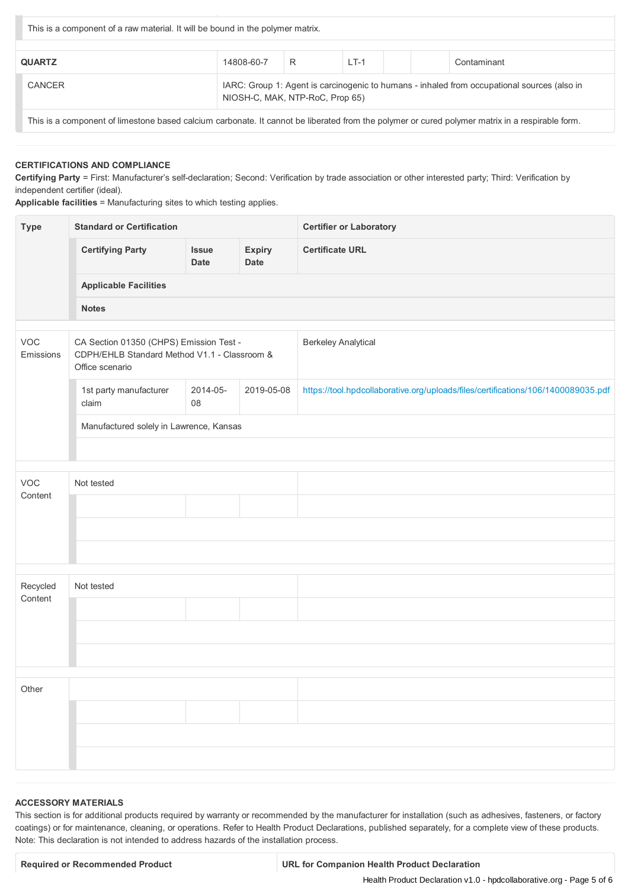| This is a component of a raw material. It will be bound in the polymer matrix. |                                                                                                                                |   |        |  |  |             |
|--------------------------------------------------------------------------------|--------------------------------------------------------------------------------------------------------------------------------|---|--------|--|--|-------------|
| <b>QUARTZ</b>                                                                  | 14808-60-7                                                                                                                     | R | $LT-1$ |  |  | Contaminant |
| <b>CANCER</b>                                                                  | IARC: Group 1: Agent is carcinogenic to humans - inhaled from occupational sources (also in<br>NIOSH-C, MAK, NTP-RoC, Prop 65) |   |        |  |  |             |

This is a component of limestone based calcium carbonate. It cannot be liberated from the polymer or cured polymer matrix in a respirable form.

#### **CERTIFICATIONS AND COMPLIANCE**

**Certifying Party** = First: Manufacturer's self-declaration; Second: Verification by trade association or other interested party; Third: Verification by independent certifier (ideal).

**Applicable facilities** = Manufacturing sites to which testing applies.

| <b>Type</b>      | <b>Standard or Certification</b>                                                                           |                      |                       | <b>Certifier or Laboratory</b>                                                    |  |  |  |  |  |
|------------------|------------------------------------------------------------------------------------------------------------|----------------------|-----------------------|-----------------------------------------------------------------------------------|--|--|--|--|--|
|                  | <b>Certifying Party</b>                                                                                    | <b>Issue</b><br>Date | <b>Expiry</b><br>Date | <b>Certificate URL</b>                                                            |  |  |  |  |  |
|                  | <b>Applicable Facilities</b>                                                                               |                      |                       |                                                                                   |  |  |  |  |  |
|                  | <b>Notes</b>                                                                                               |                      |                       |                                                                                   |  |  |  |  |  |
| VOC<br>Emissions | CA Section 01350 (CHPS) Emission Test -<br>CDPH/EHLB Standard Method V1.1 - Classroom &<br>Office scenario |                      |                       | <b>Berkeley Analytical</b>                                                        |  |  |  |  |  |
|                  | 1st party manufacturer<br>claim                                                                            | 2014-05-<br>08       | 2019-05-08            | https://tool.hpdcollaborative.org/uploads/files/certifications/106/1400089035.pdf |  |  |  |  |  |
|                  | Manufactured solely in Lawrence, Kansas                                                                    |                      |                       |                                                                                   |  |  |  |  |  |
|                  |                                                                                                            |                      |                       |                                                                                   |  |  |  |  |  |
| VOC              | Not tested                                                                                                 |                      |                       |                                                                                   |  |  |  |  |  |
| Content          |                                                                                                            |                      |                       |                                                                                   |  |  |  |  |  |
|                  |                                                                                                            |                      |                       |                                                                                   |  |  |  |  |  |
|                  |                                                                                                            |                      |                       |                                                                                   |  |  |  |  |  |
| Recycled         | Not tested                                                                                                 |                      |                       |                                                                                   |  |  |  |  |  |
| Content          |                                                                                                            |                      |                       |                                                                                   |  |  |  |  |  |
|                  |                                                                                                            |                      |                       |                                                                                   |  |  |  |  |  |
|                  |                                                                                                            |                      |                       |                                                                                   |  |  |  |  |  |
|                  |                                                                                                            |                      |                       |                                                                                   |  |  |  |  |  |
| Other            |                                                                                                            |                      |                       |                                                                                   |  |  |  |  |  |
|                  |                                                                                                            |                      |                       |                                                                                   |  |  |  |  |  |
|                  |                                                                                                            |                      |                       |                                                                                   |  |  |  |  |  |
|                  |                                                                                                            |                      |                       |                                                                                   |  |  |  |  |  |

### **ACCESSORY MATERIALS**

This section is for additional products required by warranty or recommended by the manufacturer for installation (such as adhesives, fasteners, or factory coatings) or for maintenance, cleaning, or operations. Refer to Health Product Declarations, published separately, for a complete view of these products. Note: This declaration is not intended to address hazards of the installation process.